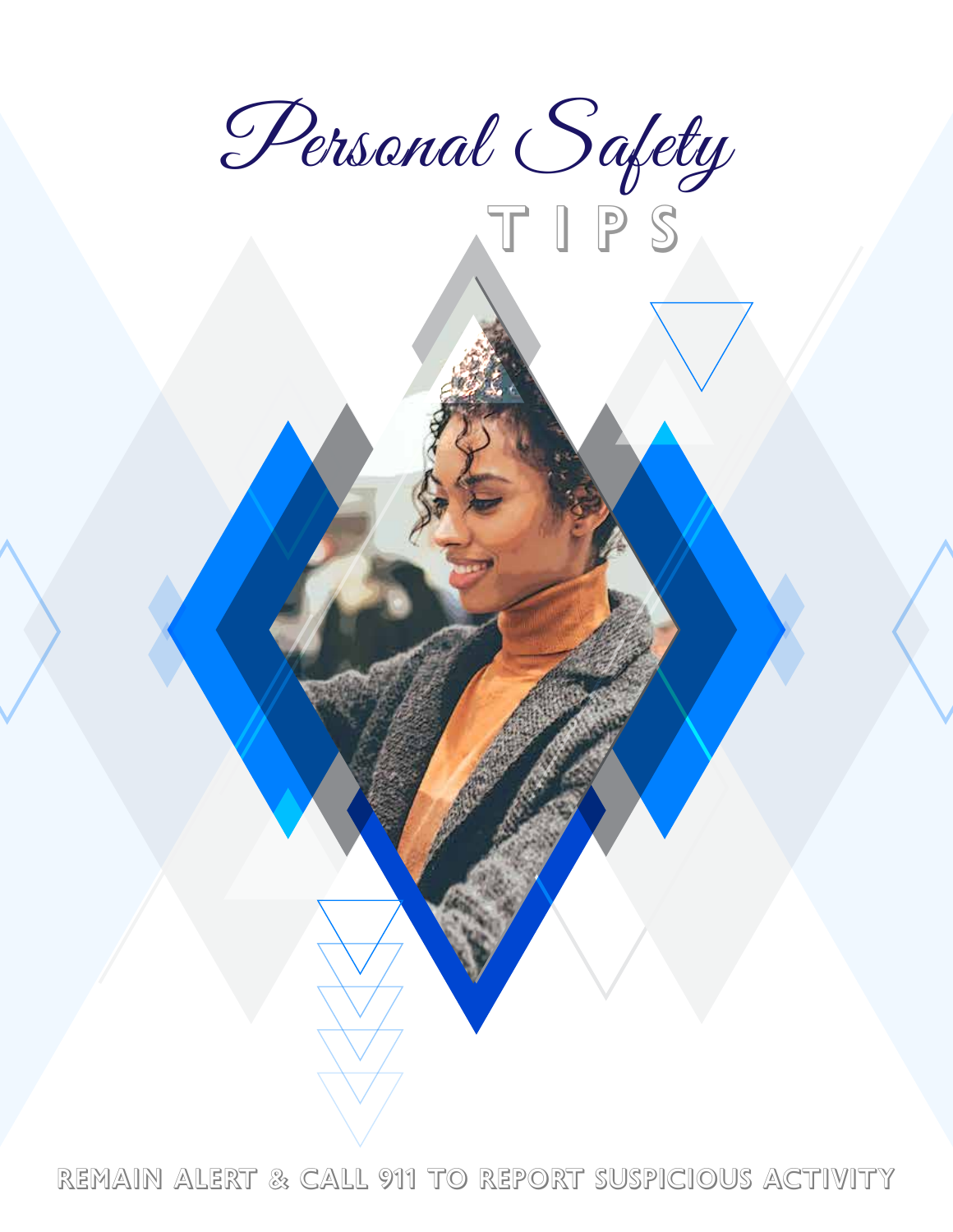

T i p s

Remain alert & call 911 to report suspicious activity